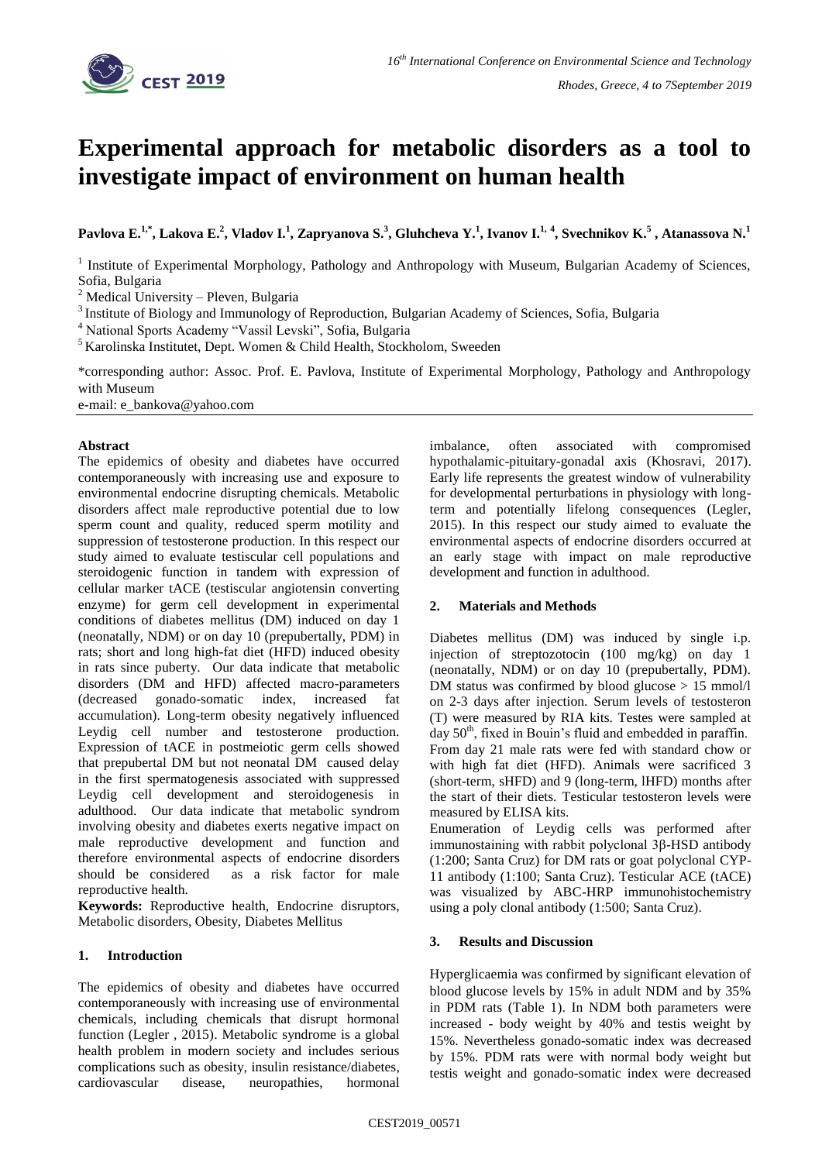

# **Experimental approach for metabolic disorders as a tool to investigate impact of environment on human health**

Pavlova E.<sup>1,\*</sup>, Lakova E.<sup>2</sup>, Vladov I.<sup>1</sup>, Zapryanova S.<sup>3</sup>, Gluhcheva Y.<sup>1</sup>, Ivanov I.<sup>1, 4</sup>, Svechnikov K.<sup>5</sup> , Atanassova N.<sup>1</sup>

<sup>1</sup> Institute of Experimental Morphology, Pathology and Anthropology with Museum, Bulgarian Academy of Sciences, Sofia, Bulgaria

<sup>2</sup> Medical University – Pleven, Bulgaria

<sup>3</sup> Institute of Biology and Immunology of Reproduction, Bulgarian Academy of Sciences, Sofia, Bulgaria

<sup>4</sup> National Sports Academy "Vassil Levski", Sofia, Bulgaria

<sup>5</sup> Karolinska Institutet, Dept. Women & Child Health, Stockholom, Sweeden

\*corresponding author: Assoc. Prof. E. Pavlova, Institute of Experimental Morphology, Pathology and Anthropology with Museum

e-mail: e\_bankova@yahoo.com

#### **Abstract**

The epidemics of obesity and diabetes have occurred contemporaneously with increasing use and exposure to environmental endocrine disrupting chemicals. Metabolic disorders affect male reproductive potential due to low sperm count and quality, reduced sperm motility and suppression of testosterone production. In this respect our study aimed to evaluate testiscular cell populations and steroidogenic function in tandem with expression of cellular marker tACE (testiscular angiotensin converting enzyme) for germ cell development in experimental conditions of diabetes mellitus (DM) induced on day 1 (neonatally, NDM) or on day 10 (prepubertally, PDM) in rats; short and long high-fat diet (HFD) induced obesity in rats since puberty. Our data indicate that metabolic disorders (DM and HFD) affected macro-parameters (decreased gonado-somatic index, increased fat accumulation). Long-term obesity negatively influenced Leydig cell number and testosterone production. Expression of tACE in postmeiotic germ cells showed that prepubertal DM but not neonatal DM caused delay in the first spermatogenesis associated with suppressed Leydig cell development and steroidogenesis in adulthood. Our data indicate that metabolic syndrom involving obesity and diabetes exerts negative impact on male reproductive development and function and therefore environmental aspects of endocrine disorders should be considered as a risk factor for male reproductive health.

**Keywords:** Reproductive health, Endocrine disruptors, Metabolic disorders, Obesity, Diabetes Mellitus

## **1. Introduction**

The epidemics of obesity and diabetes have occurred contemporaneously with increasing use of environmental chemicals, including chemicals that disrupt hormonal function (Legler , 2015). Metabolic syndrome is a global health problem in modern society and includes serious complications such as obesity, insulin resistance/diabetes, cardiovascular disease, neuropathies, hormonal imbalance, often associated with compromised hypothalamic-pituitary-gonadal axis (Khosravi, 2017). Early life represents the greatest window of vulnerability for developmental perturbations in physiology with longterm and potentially lifelong consequences (Legler, 2015). In this respect our study aimed to evaluate the environmental aspects of endocrine disorders occurred at an early stage with impact on male reproductive development and function in adulthood.

## **2. Materials and Methods**

Diabetes mellitus (DM) was induced by single i.p. injection of streptozotocin (100 mg/kg) on day 1 (neonatally, NDM) or on day 10 (prepubertally, PDM). DM status was confirmed by blood glucose  $> 15$  mmol/l on 2-3 days after injection. Serum levels of testosteron (T) were measured by RIA kits. Testes were sampled at day  $50<sup>th</sup>$ , fixed in Bouin's fluid and embedded in paraffin. From day 21 male rats were fed with standard chow or with high fat diet (HFD). Animals were sacrificed 3 (short-term, sHFD) and 9 (long-term, lHFD) months after the start of their diets. Testicular testosteron levels were measured by ELISA kits.

Enumeration of Leydig cells was performed after immunostaining with rabbit polyclonal 3β-HSD antibody (1:200; Santa Cruz) for DM rats or goat polyclonal CYP-11 antibody (1:100; Santa Cruz). Testicular ACE (tACE) was visualized by ABC-HRP immunohistochemistry using a poly clonal antibody (1:500; Santa Cruz).

## **3. Results and Discussion**

Hyperglicaemia was confirmed by significant elevation of blood glucose levels by 15% in adult NDM and by 35% in PDM rats (Table 1). In NDM both parameters were increased - body weight by 40% and testis weight by 15%. Nevertheless gonado-somatic index was decreased by 15%. PDM rats were with normal body weight but testis weight and gonado-somatic index were decreased